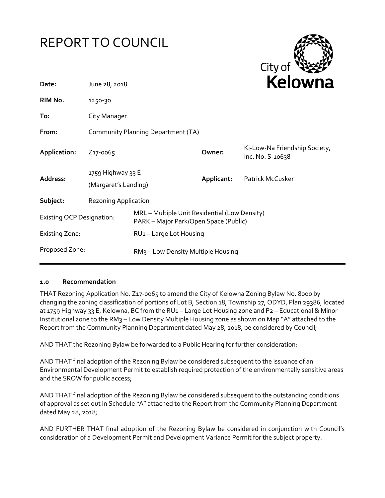



| Date:                            | June 28, 2018                             |                                                                                        | <b>NEIUWII</b> d |                                                   |  |
|----------------------------------|-------------------------------------------|----------------------------------------------------------------------------------------|------------------|---------------------------------------------------|--|
| RIM No.                          | 1250-30                                   |                                                                                        |                  |                                                   |  |
| To:                              | City Manager                              |                                                                                        |                  |                                                   |  |
| From:                            | Community Planning Department (TA)        |                                                                                        |                  |                                                   |  |
| Application:                     | Z <sub>17</sub> -0065                     |                                                                                        | Owner:           | Ki-Low-Na Friendship Society,<br>Inc. No. S-10638 |  |
| Address:                         | 1759 Highway 33 E<br>(Margaret's Landing) |                                                                                        | Applicant:       | Patrick McCusker                                  |  |
| Subject:                         | <b>Rezoning Application</b>               |                                                                                        |                  |                                                   |  |
| <b>Existing OCP Designation:</b> |                                           | MRL - Multiple Unit Residential (Low Density)<br>PARK – Major Park/Open Space (Public) |                  |                                                   |  |
| <b>Existing Zone:</b>            |                                           | RU <sub>1</sub> – Large Lot Housing                                                    |                  |                                                   |  |
| Proposed Zone:                   |                                           | RM <sub>3</sub> – Low Density Multiple Housing                                         |                  |                                                   |  |
|                                  |                                           |                                                                                        |                  |                                                   |  |

#### **1.0 Recommendation**

THAT Rezoning Application No. Z17-0065 to amend the City of Kelowna Zoning Bylaw No. 8000 by changing the zoning classification of portions of Lot B, Section 18, Township 27, ODYD, Plan 29386, located at 1759 Highway 33 E, Kelowna, BC from the RU1 - Large Lot Housing zone and P2 - Educational & Minor Institutional zone to the RM3 – Low Density Multiple Housing zone as shown on Map "A" attached to the Report from the Community Planning Department dated May 28, 2018, be considered by Council;

AND THAT the Rezoning Bylaw be forwarded to a Public Hearing for further consideration;

AND THAT final adoption of the Rezoning Bylaw be considered subsequent to the issuance of an Environmental Development Permit to establish required protection of the environmentally sensitive areas and the SROW for public access;

AND THAT final adoption of the Rezoning Bylaw be considered subsequent to the outstanding conditions of approval as set out in Schedule "A" attached to the Report from the Community Planning Department dated May 28, 2018;

AND FURTHER THAT final adoption of the Rezoning Bylaw be considered in conjunction with Council's consideration of a Development Permit and Development Variance Permit for the subject property.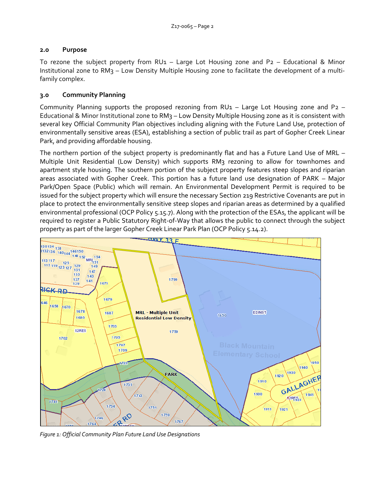## **2.0 Purpose**

To rezone the subject property from RU1 – Large Lot Housing zone and P2 – Educational & Minor Institutional zone to RM3 – Low Density Multiple Housing zone to facilitate the development of a multifamily complex.

# **3.0 Community Planning**

Community Planning supports the proposed rezoning from RU1 – Large Lot Housing zone and P2 – Educational & Minor Institutional zone to RM3 – Low Density Multiple Housing zone as it is consistent with several key Official Community Plan objectives including aligning with the Future Land Use, protection of environmentally sensitive areas (ESA), establishing a section of public trail as part of Gopher Creek Linear Park, and providing affordable housing.

The northern portion of the subject property is predominantly flat and has a Future Land Use of MRL – Multiple Unit Residential (Low Density) which supports RM3 rezoning to allow for townhomes and apartment style housing. The southern portion of the subject property features steep slopes and riparian areas associated with Gopher Creek. This portion has a future land use designation of PARK – Major Park/Open Space (Public) which will remain. An Environmental Development Permit is required to be issued for the subject property which will ensure the necessary Section 219 Restrictive Covenants are put in place to protect the environmentally sensitive steep slopes and riparian areas as determined by a qualified environmental professional (OCP Policy 5.15.7). Along with the protection of the ESAs, the applicant will be required to register a Public Statutory Right-of-Way that allows the public to connect through the subject property as part of the larger Gopher Creek Linear Park Plan (OCP Policy 5.14.2).



*Figure 1: Official Community Plan Future Land Use Designations*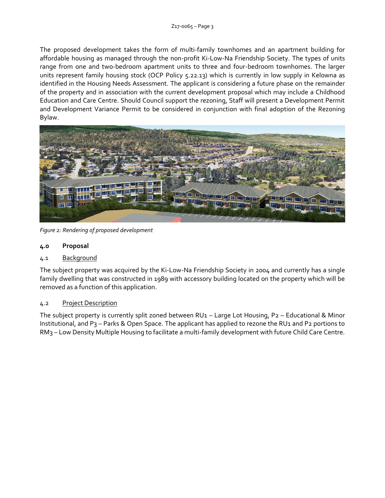The proposed development takes the form of multi-family townhomes and an apartment building for affordable housing as managed through the non-profit Ki-Low-Na Friendship Society. The types of units range from one and two-bedroom apartment units to three and four-bedroom townhomes. The larger units represent family housing stock (OCP Policy 5.22.13) which is currently in low supply in Kelowna as identified in the Housing Needs Assessment. The applicant is considering a future phase on the remainder of the property and in association with the current development proposal which may include a Childhood Education and Care Centre. Should Council support the rezoning, Staff will present a Development Permit and Development Variance Permit to be considered in conjunction with final adoption of the Rezoning Bylaw.



*Figure 2: Rendering of proposed development*

# **4.0 Proposal**

## 4.1 Background

The subject property was acquired by the Ki-Low-Na Friendship Society in 2004 and currently has a single family dwelling that was constructed in 1989 with accessory building located on the property which will be removed as a function of this application.

## 4.2 Project Description

The subject property is currently split zoned between RU1 – Large Lot Housing, P2 – Educational & Minor Institutional, and P3 – Parks & Open Space. The applicant has applied to rezone the RU1 and P2 portions to RM3 – Low Density Multiple Housing to facilitate a multi-family development with future Child Care Centre.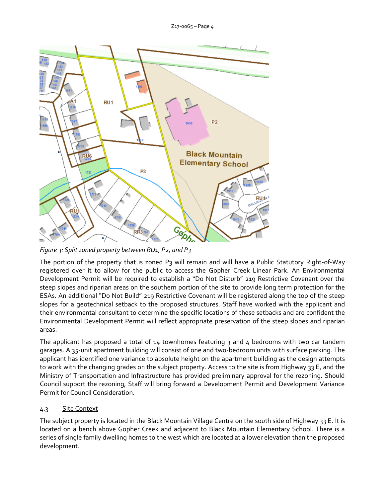

*Figure 3: Split zoned property between RU1, P2, and P3*

The portion of the property that is zoned P3 will remain and will have a Public Statutory Right-of-Way registered over it to allow for the public to access the Gopher Creek Linear Park. An Environmental Development Permit will be required to establish a "Do Not Disturb" 219 Restrictive Covenant over the steep slopes and riparian areas on the southern portion of the site to provide long term protection for the ESAs. An additional "Do Not Build" 219 Restrictive Covenant will be registered along the top of the steep slopes for a geotechnical setback to the proposed structures. Staff have worked with the applicant and their environmental consultant to determine the specific locations of these setbacks and are confident the Environmental Development Permit will reflect appropriate preservation of the steep slopes and riparian areas.

The applicant has proposed a total of  $14$  townhomes featuring 3 and  $4$  bedrooms with two car tandem garages. A 35-unit apartment building will consist of one and two-bedroom units with surface parking. The applicant has identified one variance to absolute height on the apartment building as the design attempts to work with the changing grades on the subject property. Access to the site is from Highway 33 E, and the Ministry of Transportation and Infrastructure has provided preliminary approval for the rezoning. Should Council support the rezoning, Staff will bring forward a Development Permit and Development Variance Permit for Council Consideration.

# 4.3 Site Context

The subject property is located in the Black Mountain Village Centre on the south side of Highway 33 E. It is located on a bench above Gopher Creek and adjacent to Black Mountain Elementary School. There is a series of single family dwelling homes to the west which are located at a lower elevation than the proposed development.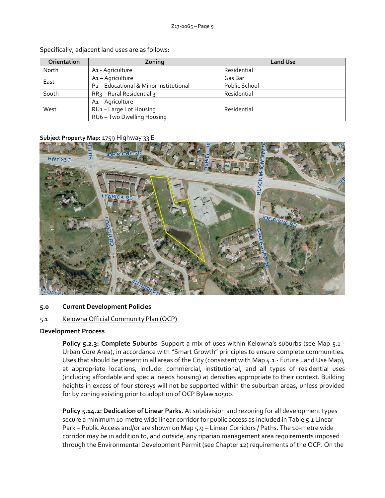| <b>Orientation</b> | Zoning                                             | <b>Land Use</b>      |
|--------------------|----------------------------------------------------|----------------------|
| North              | A <sub>1</sub> - Agriculture                       | Residential          |
| East               | A1-Agriculture                                     | Gas Bar              |
|                    | P <sub>2</sub> - Educational & Minor Institutional | <b>Public School</b> |
| South              | $RR3$ – Rural Residential 3                        | Residential          |
|                    | A1-Agriculture                                     |                      |
| West               | RU1-Large Lot Housing                              | Residential          |
|                    | RU6 - Two Dwelling Housing                         |                      |

Specifically, adjacent land uses are as follows:

#### **Subject Property Map:** 1759 Highway 33 E



#### **5.0 Current Development Policies**

#### 5.1 Kelowna Official Community Plan (OCP)

#### **Development Process**

**Policy 5.2.3: Complete Suburbs**. Support a mix of uses within Kelowna's suburbs (see Map 5.1 - Urban Core Area), in accordance with "Smart Growth" principles to ensure complete communities. Uses that should be present in all areas of the City (consistent with Map 4.1 - Future Land Use Map), at appropriate locations, include: commercial, institutional, and all types of residential uses (including affordable and special needs housing) at densities appropriate to their context. Building heights in excess of four storeys will not be supported within the suburban areas, unless provided for by zoning existing prior to adoption of OCP Bylaw 10500.

**Policy 5.14.2: Dedication of Linear Parks**. At subdivision and rezoning for all development types secure a minimum 10-metre wide linear corridor for public access as included in Table 5.1 Linear Park – Public Access and/or are shown on Map 5.9 – Linear Corridors / Paths. The 10-metre wide corridor may be in addition to, and outside, any riparian management area requirements imposed through the Environmental Development Permit (see Chapter 12) requirements of the OCP. On the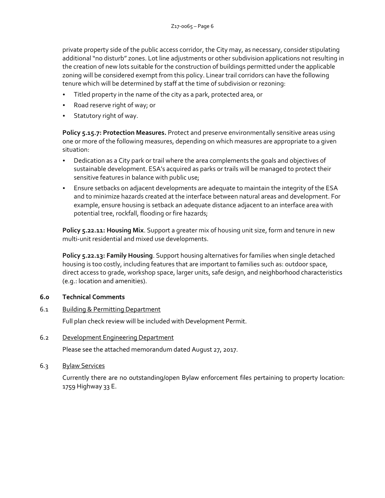private property side of the public access corridor, the City may, as necessary, consider stipulating additional "no disturb" zones. Lot line adjustments or other subdivision applications not resulting in the creation of new lots suitable for the construction of buildings permitted under the applicable zoning will be considered exempt from this policy. Linear trail corridors can have the following tenure which will be determined by staff at the time of subdivision or rezoning:

- Titled property in the name of the city as a park, protected area, or
- Road reserve right of way; or
- Statutory right of way.

**Policy 5.15.7: Protection Measures.** Protect and preserve environmentally sensitive areas using one or more of the following measures, depending on which measures are appropriate to a given situation:

- Dedication as a City park or trail where the area complements the goals and objectives of sustainable development. ESA's acquired as parks or trails will be managed to protect their sensitive features in balance with public use;
- Ensure setbacks on adjacent developments are adequate to maintain the integrity of the ESA and to minimize hazards created at the interface between natural areas and development. For example, ensure housing is setback an adequate distance adjacent to an interface area with potential tree, rockfall, flooding or fire hazards;

**Policy 5.22.11: Housing Mix**. Support a greater mix of housing unit size, form and tenure in new multi-unit residential and mixed use developments.

**Policy 5.22.13: Family Housing**. Support housing alternatives for families when single detached housing is too costly, including features that are important to families such as: outdoor space, direct access to grade, workshop space, larger units, safe design, and neighborhood characteristics (e.g.: location and amenities).

## **6.0 Technical Comments**

6.1 Building & Permitting Department

Full plan check review will be included with Development Permit.

6.2 Development Engineering Department

Please see the attached memorandum dated August 27, 2017.

6.3 Bylaw Services

Currently there are no outstanding/open Bylaw enforcement files pertaining to property location: 1759 Highway 33 E.